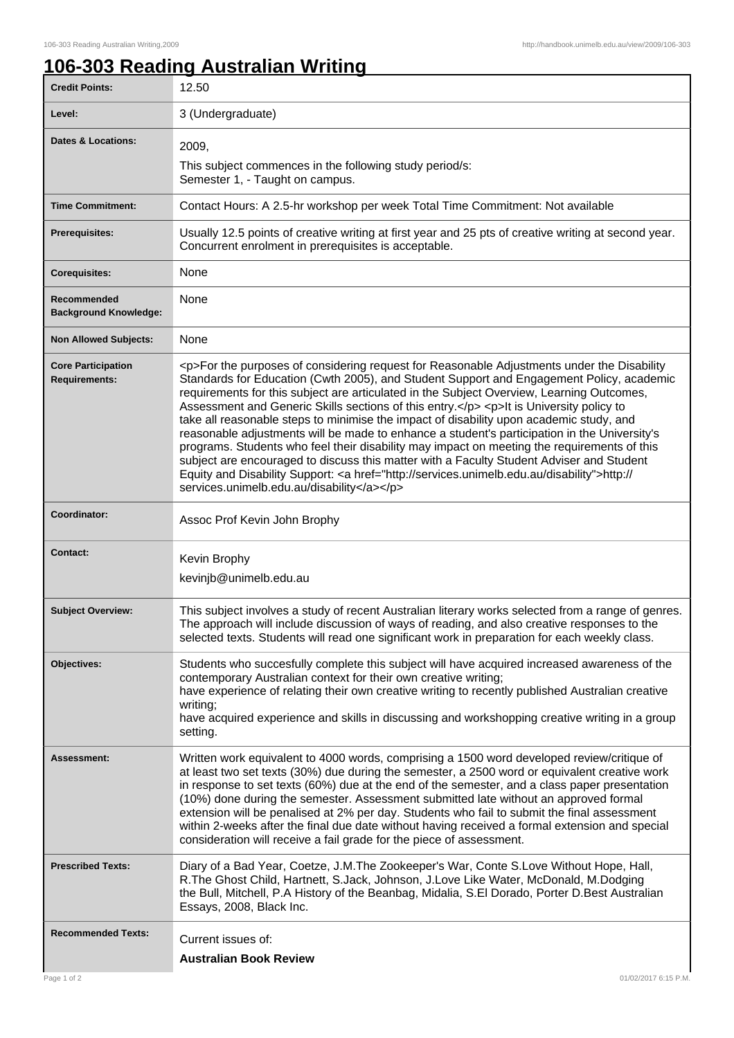ı

## **106-303 Reading Australian Writing**

| <b>Credit Points:</b>                             | 12.50                                                                                                                                                                                                                                                                                                                                                                                                                                                                                                                                                                                                                                                                                                                                                                                                                                                                                                                        |
|---------------------------------------------------|------------------------------------------------------------------------------------------------------------------------------------------------------------------------------------------------------------------------------------------------------------------------------------------------------------------------------------------------------------------------------------------------------------------------------------------------------------------------------------------------------------------------------------------------------------------------------------------------------------------------------------------------------------------------------------------------------------------------------------------------------------------------------------------------------------------------------------------------------------------------------------------------------------------------------|
| Level:                                            | 3 (Undergraduate)                                                                                                                                                                                                                                                                                                                                                                                                                                                                                                                                                                                                                                                                                                                                                                                                                                                                                                            |
| <b>Dates &amp; Locations:</b>                     | 2009,<br>This subject commences in the following study period/s:<br>Semester 1, - Taught on campus.                                                                                                                                                                                                                                                                                                                                                                                                                                                                                                                                                                                                                                                                                                                                                                                                                          |
| <b>Time Commitment:</b>                           | Contact Hours: A 2.5-hr workshop per week Total Time Commitment: Not available                                                                                                                                                                                                                                                                                                                                                                                                                                                                                                                                                                                                                                                                                                                                                                                                                                               |
| <b>Prerequisites:</b>                             | Usually 12.5 points of creative writing at first year and 25 pts of creative writing at second year.<br>Concurrent enrolment in prerequisites is acceptable.                                                                                                                                                                                                                                                                                                                                                                                                                                                                                                                                                                                                                                                                                                                                                                 |
| <b>Corequisites:</b>                              | None                                                                                                                                                                                                                                                                                                                                                                                                                                                                                                                                                                                                                                                                                                                                                                                                                                                                                                                         |
| Recommended<br><b>Background Knowledge:</b>       | None                                                                                                                                                                                                                                                                                                                                                                                                                                                                                                                                                                                                                                                                                                                                                                                                                                                                                                                         |
| <b>Non Allowed Subjects:</b>                      | None                                                                                                                                                                                                                                                                                                                                                                                                                                                                                                                                                                                                                                                                                                                                                                                                                                                                                                                         |
| <b>Core Participation</b><br><b>Requirements:</b> | <p>For the purposes of considering request for Reasonable Adjustments under the Disability<br/>Standards for Education (Cwth 2005), and Student Support and Engagement Policy, academic<br/>requirements for this subject are articulated in the Subject Overview, Learning Outcomes,<br/>Assessment and Generic Skills sections of this entry.</p> <p>lt is University policy to<br/>take all reasonable steps to minimise the impact of disability upon academic study, and<br/>reasonable adjustments will be made to enhance a student's participation in the University's<br/>programs. Students who feel their disability may impact on meeting the requirements of this<br/>subject are encouraged to discuss this matter with a Faculty Student Adviser and Student<br/>Equity and Disability Support: &lt; a href="http://services.unimelb.edu.au/disability"&gt;http://<br/>services.unimelb.edu.au/disability</p> |
| Coordinator:                                      | Assoc Prof Kevin John Brophy                                                                                                                                                                                                                                                                                                                                                                                                                                                                                                                                                                                                                                                                                                                                                                                                                                                                                                 |
| <b>Contact:</b>                                   | Kevin Brophy<br>kevinjb@unimelb.edu.au                                                                                                                                                                                                                                                                                                                                                                                                                                                                                                                                                                                                                                                                                                                                                                                                                                                                                       |
| <b>Subject Overview:</b>                          | This subject involves a study of recent Australian literary works selected from a range of genres.<br>The approach will include discussion of ways of reading, and also creative responses to the<br>selected texts. Students will read one significant work in preparation for each weekly class.                                                                                                                                                                                                                                                                                                                                                                                                                                                                                                                                                                                                                           |
| Objectives:                                       | Students who succesfully complete this subject will have acquired increased awareness of the<br>contemporary Australian context for their own creative writing;<br>have experience of relating their own creative writing to recently published Australian creative<br>writing;<br>have acquired experience and skills in discussing and workshopping creative writing in a group<br>setting.                                                                                                                                                                                                                                                                                                                                                                                                                                                                                                                                |
| <b>Assessment:</b>                                | Written work equivalent to 4000 words, comprising a 1500 word developed review/critique of<br>at least two set texts (30%) due during the semester, a 2500 word or equivalent creative work<br>in response to set texts (60%) due at the end of the semester, and a class paper presentation<br>(10%) done during the semester. Assessment submitted late without an approved formal<br>extension will be penalised at 2% per day. Students who fail to submit the final assessment<br>within 2-weeks after the final due date without having received a formal extension and special<br>consideration will receive a fail grade for the piece of assessment.                                                                                                                                                                                                                                                                |
| <b>Prescribed Texts:</b>                          | Diary of a Bad Year, Coetze, J.M.The Zookeeper's War, Conte S.Love Without Hope, Hall,<br>R.The Ghost Child, Hartnett, S.Jack, Johnson, J.Love Like Water, McDonald, M.Dodging<br>the Bull, Mitchell, P.A History of the Beanbag, Midalia, S.El Dorado, Porter D.Best Australian<br>Essays, 2008, Black Inc.                                                                                                                                                                                                                                                                                                                                                                                                                                                                                                                                                                                                                 |
| <b>Recommended Texts:</b>                         | Current issues of:<br><b>Australian Book Review</b>                                                                                                                                                                                                                                                                                                                                                                                                                                                                                                                                                                                                                                                                                                                                                                                                                                                                          |
| Page 1 of 2                                       | 01/02/2017 6:15 P.M.                                                                                                                                                                                                                                                                                                                                                                                                                                                                                                                                                                                                                                                                                                                                                                                                                                                                                                         |